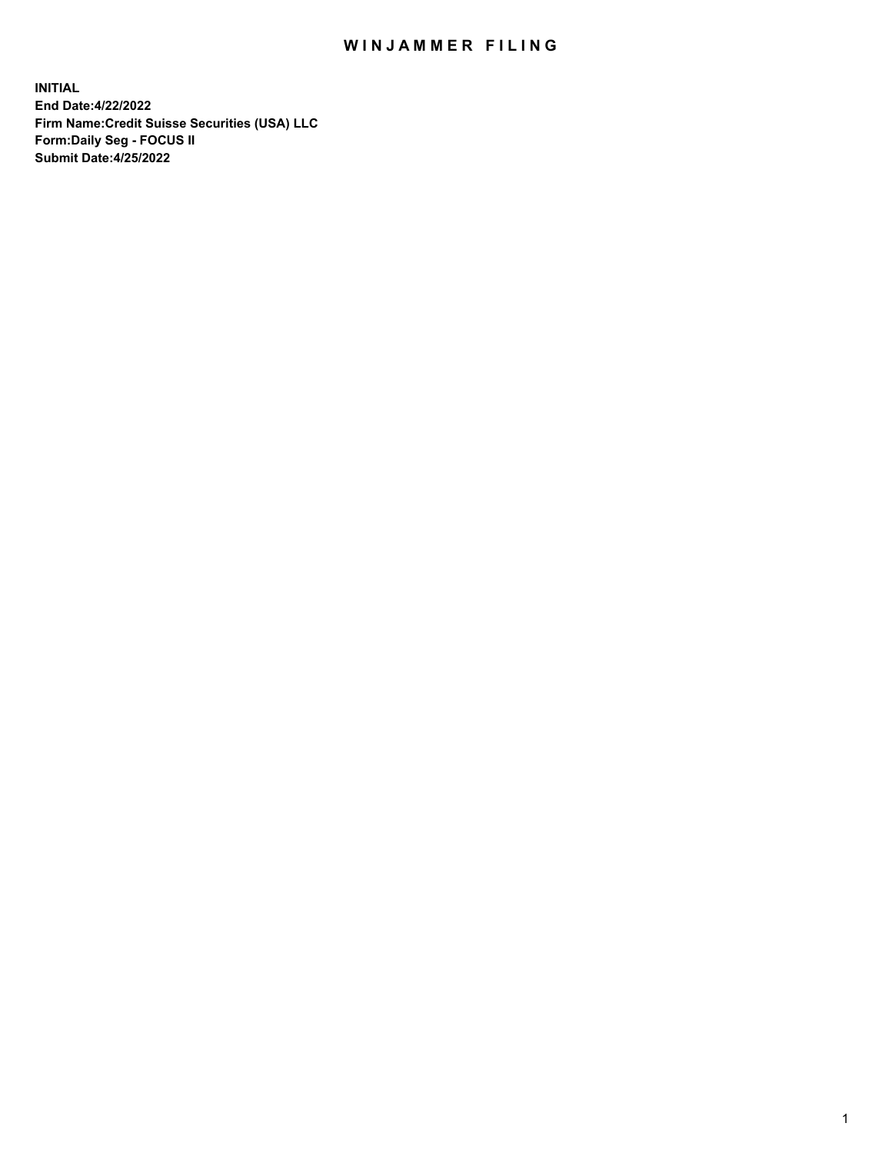## WIN JAMMER FILING

**INITIAL End Date:4/22/2022 Firm Name:Credit Suisse Securities (USA) LLC Form:Daily Seg - FOCUS II Submit Date:4/25/2022**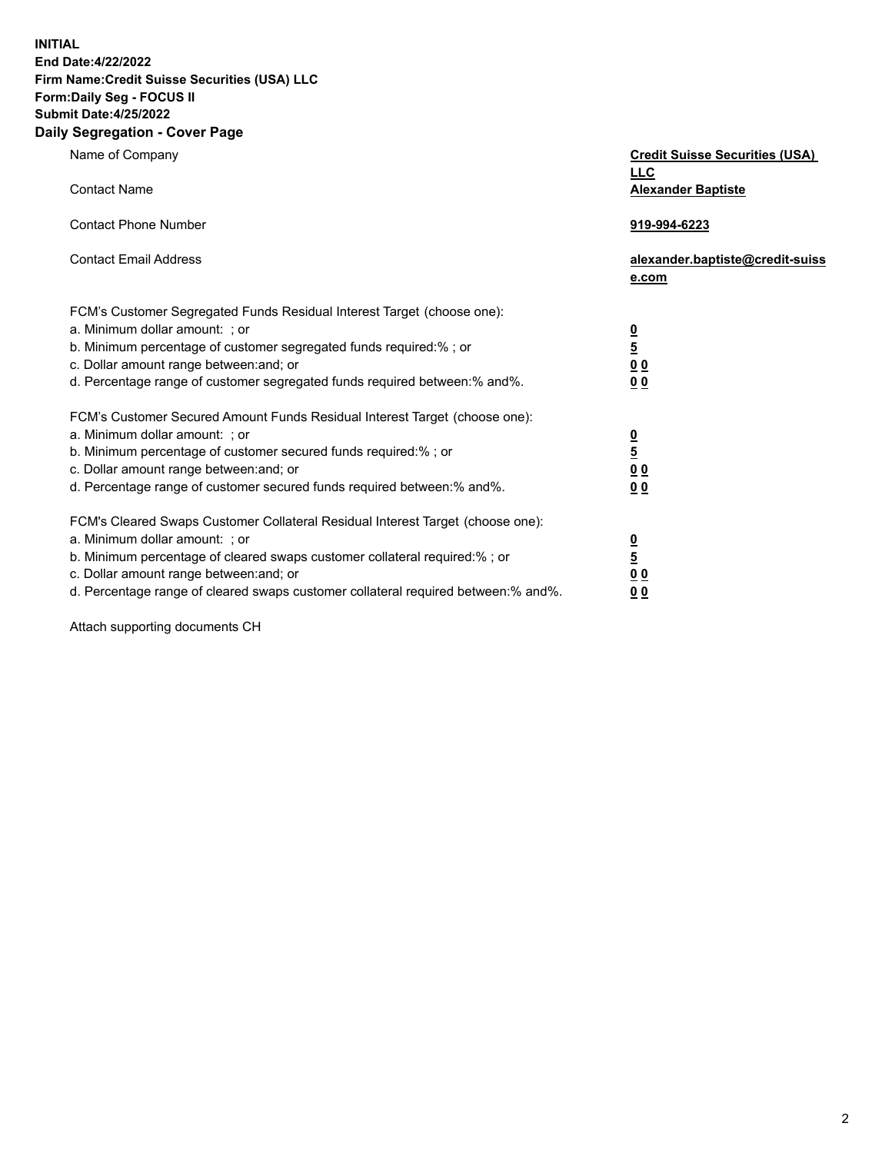**INITIAL**

## **End Date:4/22/2022 Firm Name:Credit Suisse Securities (USA) LLC Form:Daily Seg - FOCUS II Submit Date:4/25/2022**

## **Daily Segregation - Cover Page**

| Name of Company                                                                                                                                                                                                                                                                                                                | <b>Credit Suisse Securities (USA)</b><br><b>LLC</b>                   |
|--------------------------------------------------------------------------------------------------------------------------------------------------------------------------------------------------------------------------------------------------------------------------------------------------------------------------------|-----------------------------------------------------------------------|
| <b>Contact Name</b>                                                                                                                                                                                                                                                                                                            | <b>Alexander Baptiste</b>                                             |
| <b>Contact Phone Number</b>                                                                                                                                                                                                                                                                                                    | 919-994-6223                                                          |
| <b>Contact Email Address</b>                                                                                                                                                                                                                                                                                                   | alexander.baptiste@credit-suiss<br>e.com                              |
| FCM's Customer Segregated Funds Residual Interest Target (choose one):<br>a. Minimum dollar amount: : or<br>b. Minimum percentage of customer segregated funds required:% ; or<br>c. Dollar amount range between: and; or<br>d. Percentage range of customer segregated funds required between:% and%.                         | $\frac{0}{\frac{5}{0}}$<br>0 <sub>0</sub>                             |
| FCM's Customer Secured Amount Funds Residual Interest Target (choose one):<br>a. Minimum dollar amount: ; or<br>b. Minimum percentage of customer secured funds required:%; or<br>c. Dollar amount range between: and; or<br>d. Percentage range of customer secured funds required between:% and%.                            | $\frac{0}{5}$<br>$\underline{0}$<br>$\underline{0}$<br>0 <sub>0</sub> |
| FCM's Cleared Swaps Customer Collateral Residual Interest Target (choose one):<br>a. Minimum dollar amount: ; or<br>b. Minimum percentage of cleared swaps customer collateral required:% ; or<br>c. Dollar amount range between: and; or<br>d. Percentage range of cleared swaps customer collateral required between:% and%. | $\frac{0}{5}$<br>0 <sub>0</sub><br>0 <sub>0</sub>                     |

Attach supporting documents CH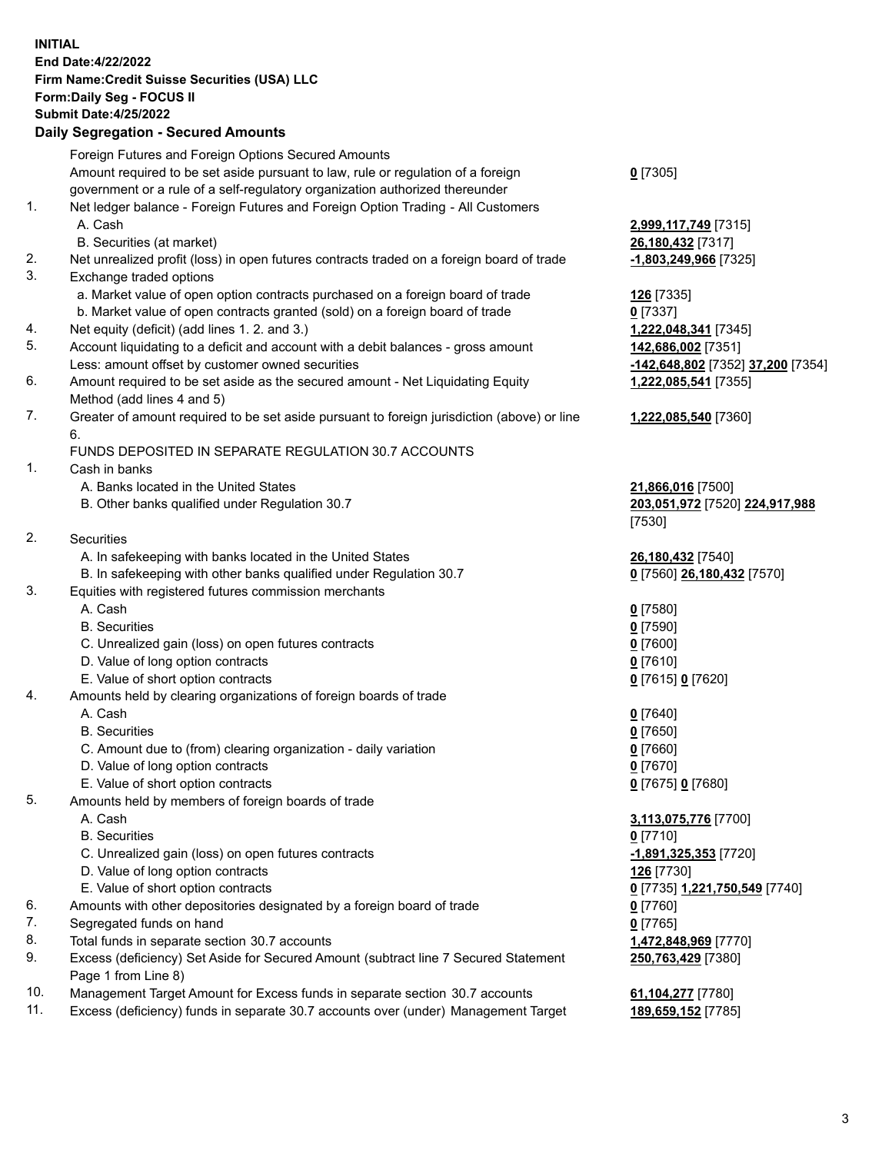**INITIAL End Date:4/22/2022 Firm Name:Credit Suisse Securities (USA) LLC Form:Daily Seg - FOCUS II Submit Date:4/25/2022**

## **Daily Segregation - Secured Amounts**

|     | Foreign Futures and Foreign Options Secured Amounts                                         |                                                     |
|-----|---------------------------------------------------------------------------------------------|-----------------------------------------------------|
|     | Amount required to be set aside pursuant to law, rule or regulation of a foreign            | $0$ [7305]                                          |
|     | government or a rule of a self-regulatory organization authorized thereunder                |                                                     |
| 1.  | Net ledger balance - Foreign Futures and Foreign Option Trading - All Customers             |                                                     |
|     | A. Cash                                                                                     | 2,999,117,749 [7315]                                |
|     | B. Securities (at market)                                                                   | 26,180,432 [7317]                                   |
| 2.  | Net unrealized profit (loss) in open futures contracts traded on a foreign board of trade   | -1,803,249,966 [7325]                               |
| 3.  | Exchange traded options                                                                     |                                                     |
|     | a. Market value of open option contracts purchased on a foreign board of trade              | 126 [7335]                                          |
|     | b. Market value of open contracts granted (sold) on a foreign board of trade                | $0$ [7337]                                          |
| 4.  | Net equity (deficit) (add lines 1. 2. and 3.)                                               | 1,222,048,341 [7345]                                |
| 5.  | Account liquidating to a deficit and account with a debit balances - gross amount           | 142,686,002 [7351]                                  |
|     | Less: amount offset by customer owned securities                                            | -142,648,802 [7352] 37,200 [7354]                   |
| 6.  | Amount required to be set aside as the secured amount - Net Liquidating Equity              | 1,222,085,541 [7355]                                |
|     | Method (add lines 4 and 5)                                                                  |                                                     |
| 7.  | Greater of amount required to be set aside pursuant to foreign jurisdiction (above) or line | 1,222,085,540 [7360]                                |
|     | 6.                                                                                          |                                                     |
|     | FUNDS DEPOSITED IN SEPARATE REGULATION 30.7 ACCOUNTS                                        |                                                     |
| 1.  | Cash in banks                                                                               |                                                     |
|     | A. Banks located in the United States                                                       | 21,866,016 [7500]                                   |
|     | B. Other banks qualified under Regulation 30.7                                              | 203,051,972 [7520] 224,917,988                      |
|     |                                                                                             | [7530]                                              |
| 2.  | Securities                                                                                  |                                                     |
|     | A. In safekeeping with banks located in the United States                                   | 26,180,432 [7540]                                   |
|     | B. In safekeeping with other banks qualified under Regulation 30.7                          | 0 [7560] 26,180,432 [7570]                          |
| 3.  | Equities with registered futures commission merchants                                       |                                                     |
|     | A. Cash                                                                                     | $0$ [7580]                                          |
|     | <b>B.</b> Securities                                                                        | $0$ [7590]                                          |
|     | C. Unrealized gain (loss) on open futures contracts                                         | $0$ [7600]                                          |
|     | D. Value of long option contracts                                                           | $0$ [7610]                                          |
|     | E. Value of short option contracts                                                          | 0 [7615] 0 [7620]                                   |
| 4.  | Amounts held by clearing organizations of foreign boards of trade                           |                                                     |
|     | A. Cash                                                                                     | $0$ [7640]                                          |
|     | <b>B.</b> Securities                                                                        | $0$ [7650]                                          |
|     | C. Amount due to (from) clearing organization - daily variation                             | $0$ [7660]                                          |
|     | D. Value of long option contracts                                                           | $0$ [7670]                                          |
|     | E. Value of short option contracts                                                          | 0 [7675] 0 [7680]                                   |
| 5.  | Amounts held by members of foreign boards of trade                                          |                                                     |
|     | A. Cash                                                                                     | 3,113,075,776 [7700]                                |
|     | <b>B.</b> Securities                                                                        | $0$ [7710]                                          |
|     | C. Unrealized gain (loss) on open futures contracts                                         | -1,891,325,353 [7720]                               |
|     | D. Value of long option contracts                                                           | 126 [7730]                                          |
|     | E. Value of short option contracts                                                          | 0 <sup>[7735]</sup> 1.221,750,549 <sup>[7740]</sup> |
| 6.  | Amounts with other depositories designated by a foreign board of trade                      | $0$ [7760]                                          |
| 7.  | Segregated funds on hand                                                                    | $0$ [7765]                                          |
| 8.  | Total funds in separate section 30.7 accounts                                               | 1,472,848,969 [7770]                                |
| 9.  | Excess (deficiency) Set Aside for Secured Amount (subtract line 7 Secured Statement         | 250,763,429 [7380]                                  |
|     | Page 1 from Line 8)                                                                         |                                                     |
| 10. | Management Target Amount for Excess funds in separate section 30.7 accounts                 | 61,104,277 [7780]                                   |

11. Excess (deficiency) funds in separate 30.7 accounts over (under) Management Target **189,659,152** [7785]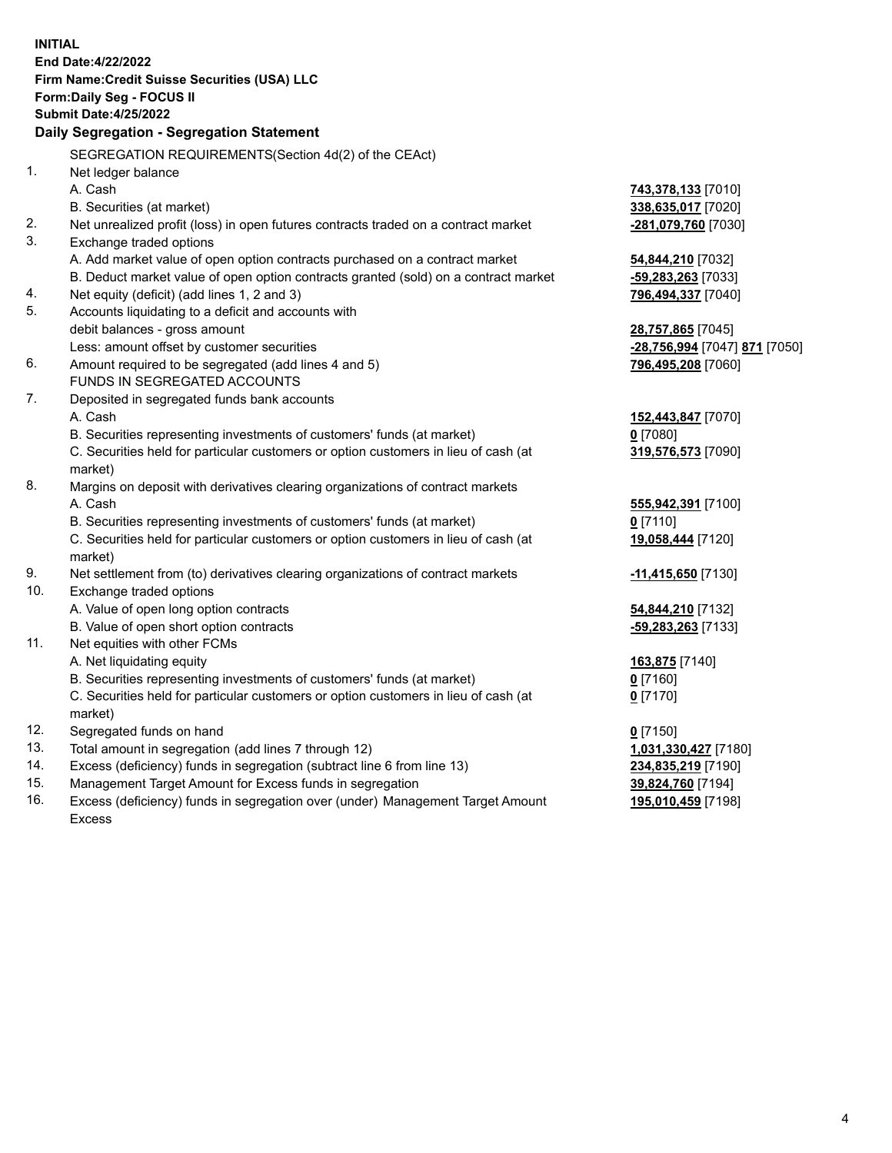|     | <b>INITIAL</b>                                                                                 |                                                   |
|-----|------------------------------------------------------------------------------------------------|---------------------------------------------------|
|     | End Date: 4/22/2022                                                                            |                                                   |
|     | Firm Name: Credit Suisse Securities (USA) LLC                                                  |                                                   |
|     | Form: Daily Seg - FOCUS II                                                                     |                                                   |
|     | <b>Submit Date: 4/25/2022</b>                                                                  |                                                   |
|     | Daily Segregation - Segregation Statement                                                      |                                                   |
|     | SEGREGATION REQUIREMENTS(Section 4d(2) of the CEAct)                                           |                                                   |
| 1.  | Net ledger balance                                                                             |                                                   |
|     | A. Cash                                                                                        | 743,378,133 [7010]                                |
|     | B. Securities (at market)                                                                      | 338,635,017 [7020]                                |
| 2.  | Net unrealized profit (loss) in open futures contracts traded on a contract market             | -281,079,760 [7030]                               |
| 3.  | Exchange traded options                                                                        |                                                   |
|     | A. Add market value of open option contracts purchased on a contract market                    | 54,844,210 [7032]                                 |
|     | B. Deduct market value of open option contracts granted (sold) on a contract market            | -59,283,263 [7033]                                |
| 4.  | Net equity (deficit) (add lines 1, 2 and 3)                                                    | 796,494,337 [7040]                                |
| 5.  | Accounts liquidating to a deficit and accounts with                                            |                                                   |
|     | debit balances - gross amount                                                                  | 28,757,865 [7045]                                 |
|     | Less: amount offset by customer securities                                                     | <mark>-28,756,994</mark> [7047] <b>871</b> [7050] |
| 6.  | Amount required to be segregated (add lines 4 and 5)                                           | 796,495,208 [7060]                                |
|     | FUNDS IN SEGREGATED ACCOUNTS                                                                   |                                                   |
| 7.  | Deposited in segregated funds bank accounts                                                    |                                                   |
|     | A. Cash                                                                                        | 152,443,847 [7070]                                |
|     | B. Securities representing investments of customers' funds (at market)                         | $0$ [7080]                                        |
|     | C. Securities held for particular customers or option customers in lieu of cash (at            | 319,576,573 [7090]                                |
|     | market)                                                                                        |                                                   |
| 8.  | Margins on deposit with derivatives clearing organizations of contract markets                 |                                                   |
|     | A. Cash                                                                                        | 555,942,391 [7100]                                |
|     | B. Securities representing investments of customers' funds (at market)                         | $0$ [7110]                                        |
|     | C. Securities held for particular customers or option customers in lieu of cash (at<br>market) | 19,058,444 [7120]                                 |
| 9.  | Net settlement from (to) derivatives clearing organizations of contract markets                | -11,415,650 [7130]                                |
| 10. | Exchange traded options                                                                        |                                                   |
|     | A. Value of open long option contracts                                                         | 54,844,210 [7132]                                 |
|     | B. Value of open short option contracts                                                        | -59,283,263 [7133]                                |
| 11. | Net equities with other FCMs                                                                   |                                                   |
|     | A. Net liquidating equity                                                                      | 163,875 [7140]                                    |
|     | B. Securities representing investments of customers' funds (at market)                         | $0$ [7160]                                        |
|     | C. Securities held for particular customers or option customers in lieu of cash (at            | $0$ [7170]                                        |
|     | market)                                                                                        |                                                   |
| 12. | Segregated funds on hand                                                                       | $0$ [7150]                                        |
| 13. | Total amount in segregation (add lines 7 through 12)                                           | 1,031,330,427 [7180]                              |
| 14. | Excess (deficiency) funds in segregation (subtract line 6 from line 13)                        | 234,835,219 [7190]                                |
| 15. | Management Target Amount for Excess funds in segregation                                       | 39,824,760 [7194]                                 |
| 16. | Excess (deficiency) funds in segregation over (under) Management Target Amount                 | 195,010,459 [7198]                                |

16. Excess (deficiency) funds in segregation over (under) Management Target Amount Excess